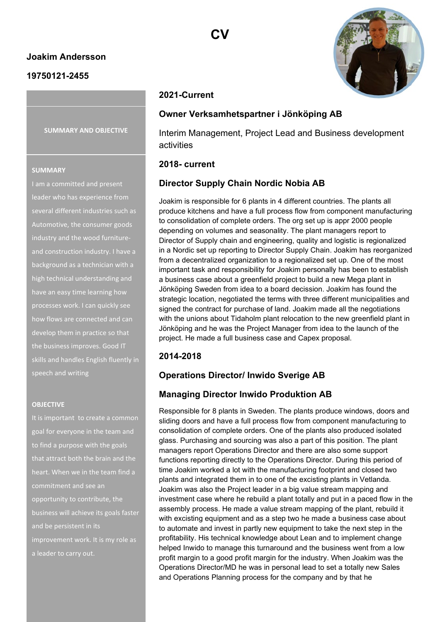### **Joakim Andersson**

### **19750121-2455**

**SUMMARY AND OBJECTIVE**

#### **SUMMARY**

I am a committed and present leader who has experience from several different industries such as Automotive, the consumer goods industry and the wood furnitureand construction industry. I have a background as a technician with a high technical understanding and have an easy time learning how processes work. I can quickly see how flows are connected and can develop them in practice so that the business improves. Good IT skills and handles English fluently in speech and writing

#### **OBJECTIVE**

It is important to create a common goal for everyone in the team and to find a purpose with the goals that attract both the brain and the heart. When we in the team find a opportunity to contribute, the business will achieve its goals faster and be persistent in its improvement work. It is my role as a leader to carry out.



# **2021-Current**

#### **Owner Verksamhetspartner i Jönköping AB**

Interim Management, Project Lead and Business development activities

#### **2018- current**

### **Director Supply Chain Nordic Nobia AB**

Joakim is responsible for 6 plants in 4 different countries. The plants all produce kitchens and have a full process flow from component manufacturing to consolidation of complete orders. The org set up is appr 2000 people depending on volumes and seasonality. The plant managers report to Director of Supply chain and engineering, quality and logistic is regionalized in a Nordic set up reporting to Director Supply Chain. Joakim has reorganized from a decentralized organization to a regionalized set up. One of the most important task and responsibility for Joakim personally has been to establish a business case about a greenfield project to build a new Mega plant in Jönköping Sweden from idea to a board decission. Joakim has found the strategic location, negotiated the terms with three different municipalities and signed the contract for purchase of land. Joakim made all the negotiations with the unions about Tidaholm plant relocation to the new greenfield plant in Jönköping and he was the Project Manager from idea to the launch of the project. He made a full business case and Capex proposal.

### **2014-2018**

### **Operations Director/ Inwido Sverige AB**

### **Managing Director Inwido Produktion AB**

Responsible for 8 plants in Sweden. The plants produce windows, doors and sliding doors and have a full process flow from component manufacturing to consolidation of complete orders. One of the plants also produced isolated glass. Purchasing and sourcing was also a part of this position. The plant managers report Operations Director and there are also some support functions reporting directly to the Operations Director. During this period of time Joakim worked a lot with the manufacturing footprint and closed two plants and integrated them in to one of the excisting plants in Vetlanda. Joakim was also the Project leader in a big value stream mapping and investment case where he rebuild a plant totally and put in a paced flow in the assembly process. He made a value stream mapping of the plant, rebuild it with excisting equipment and as a step two he made a business case about to automate and invest in partly new equipment to take the next step in the profitability. His technical knowledge about Lean and to implement change helped Inwido to manage this turnaround and the business went from a low profit margin to a good profit margin for the industry. When Joakim was the Operations Director/MD he was in personal lead to set a totally new Sales and Operations Planning process for the company and by that he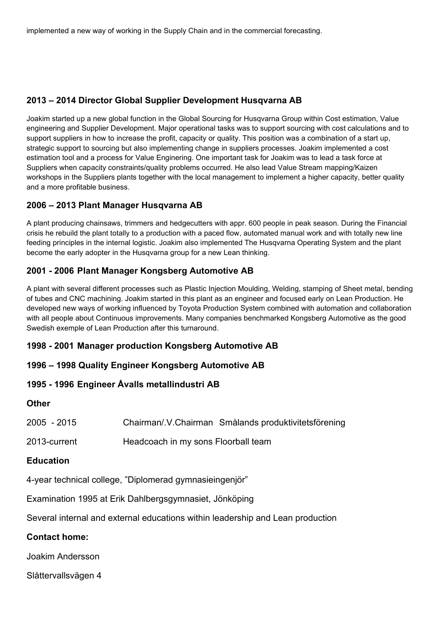implemented a new way of working in the Supply Chain and in the commercial forecasting.

# **2013 – 2014 Director Global Supplier Development Husqvarna AB**

Joakim started up a new global function in the Global Sourcing for Husqvarna Group within Cost estimation, Value engineering and Supplier Development. Major operational tasks was to support sourcing with cost calculations and to support suppliers in how to increase the profit, capacity or quality. This position was a combination of a start up, strategic support to sourcing but also implementing change in suppliers processes. Joakim implemented a cost estimation tool and a process for Value Enginering. One important task for Joakim was to lead a task force at Suppliers when capacity constraints/quality problems occurred. He also lead Value Stream mapping/Kaizen workshops in the Suppliers plants together with the local management to implement a higher capacity, better quality and a more profitable business.

## **2006 – 2013 Plant Manager Husqvarna AB**

A plant producing chainsaws, trimmers and hedgecutters with appr. 600 people in peak season. During the Financial crisis he rebuild the plant totally to a production with a paced flow, automated manual work and with totally new line feeding principles in the internal logistic. Joakim also implemented The Husqvarna Operating System and the plant become the early adopter in the Husqvarna group for a new Lean thinking.

# **2001 - 2006 Plant Manager Kongsberg Automotive AB**

A plant with several different processes such as Plastic Injection Moulding, Welding, stamping of Sheet metal, bending of tubes and CNC machining. Joakim started in this plant as an engineer and focused early on Lean Production. He developed new ways of working influenced by Toyota Production System combined with automation and collaboration with all people about Continuous improvements. Many companies benchmarked Kongsberg Automotive as the good Swedish exemple of Lean Production after this turnaround.

# **1998 - 2001 Manager production Kongsberg Automotive AB**

## **1996 – 1998 Quality Engineer Kongsberg Automotive AB**

## **1995 - 1996 Engineer Åvalls metallindustri AB**

### **Other**

| 2005 - 2015 | Chairman/.V.Chairman Smålands produktivitetsförening |
|-------------|------------------------------------------------------|
|-------------|------------------------------------------------------|

2013-current Headcoach in my sons Floorball team

## **Education**

4-year technical college, "Diplomerad gymnasieingenjör"

Examination 1995 at Erik Dahlbergsgymnasiet, Jönköping

Several internal and external educations within leadership and Lean production

# **Contact home:**

Joakim Andersson

Slåttervallsvägen 4